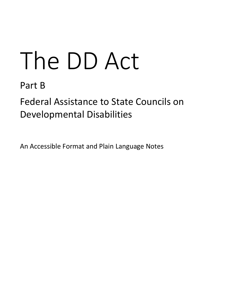# The DD Act

Part B

Federal Assistance to State Councils on Developmental Disabilities

An Accessible Format and Plain Language Notes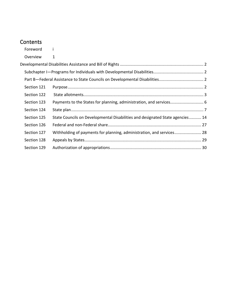# **Contents**

| 1                                                                             |  |
|-------------------------------------------------------------------------------|--|
|                                                                               |  |
|                                                                               |  |
|                                                                               |  |
|                                                                               |  |
|                                                                               |  |
|                                                                               |  |
|                                                                               |  |
| State Councils on Developmental Disabilities and designated State agencies 14 |  |
|                                                                               |  |
| Withholding of payments for planning, administration, and services 28         |  |
|                                                                               |  |
|                                                                               |  |
|                                                                               |  |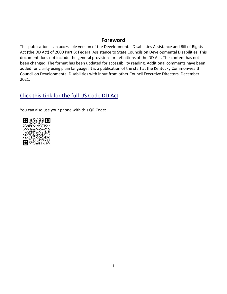# **Foreword**

<span id="page-2-0"></span>This publication is an accessible version of the Developmental Disabilities Assistance and Bill of Rights Act (the DD Act) of 2000 Part B: Federal Assistance to State Councils on Developmental Disabilities. This document does not include the general provisions or definitions of the DD Act. The content has not been changed. The format has been updated for accessibility reading. Additional comments have been added for clarity using plain language. It is a publication of the staff at the Kentucky Commonwealth Council on Developmental Disabilities with input from other Council Executive Directors, December 2021.

# [Click this Link for the full US Code DD Act](https://uscode.house.gov/view.xhtml?path=/prelim@title42/chapter144&edition=prelim)

You can also use your phone with this QR Code:

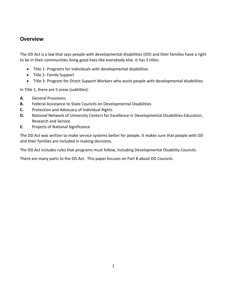# <span id="page-3-0"></span>**Overview**

The DD Act is a law that says people with developmental disabilities (DD) and their families have a right to be in their communities living good lives like everybody else. It has 3 titles:

- Title 1- Programs for individuals with developmental disabilities
- Title 2- Family Support
- Title 3- Program for Direct Support Workers who assist people with developmental disabilities

In Title 1, there are 5 areas (subtitles):

- **A.** General Provisions
- **B.** Federal Assistance to State Councils on Developmental Disabilities
- **C.** Protection and Advocacy of Individual Rights
- **D.** National Network of University Centers for Excellence in Developmental Disabilities Education, Research and Service
- **E.** Projects of National Significance

The DD Act was written to make service systems better for people. It makes sure that people with DD and their families are included in making decisions.

The DD Act includes rules that programs must follow, including Developmental Disability Councils.

There are many parts to the DD Act. This paper focuses on Part B about DD Councils.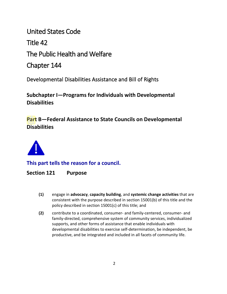United States Code Title 42

The Public Health and Welfare

Chapter 144

<span id="page-4-0"></span>Developmental Disabilities Assistance and Bill of Rights

<span id="page-4-1"></span>**Subchapter I—Programs for Individuals with Developmental Disabilities**

<span id="page-4-2"></span>**Part B—Federal Assistance to State Councils on Developmental Disabilities**



**This part tells the reason for a council.** 

<span id="page-4-3"></span>**Section 121 Purpose** 

- **(1)** engage in **advocacy**, **capacity building**, and **systemic change activities** that are consistent with the purpose described in section 15001(b) of this title and the policy described in section 15001(c) of this title; and
- **(2)** contribute to a coordinated, consumer- and family-centered, consumer- and family-directed, comprehensive system of community services, individualized supports, and other forms of assistance that enable individuals with developmental disabilities to exercise self-determination, be independent, be productive, and be integrated and included in all facets of community life.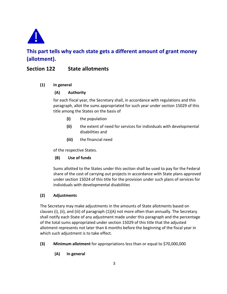

# **This part tells why each state gets a different amount of grant money (allotment).**

# <span id="page-5-0"></span>**Section 122 State allotments**

#### **(1) In general**

## **(A) Authority**

for each fiscal year, the Secretary shall, in accordance with regulations and this paragraph, allot the sums appropriated for such year under section 15029 of this title among the States on the basis of

- **(i)** the population
- **(ii)** the extent of need for services for individuals with developmental disabilities and
- **(iii)** the financial need

of the respective States.

## **(B) Use of funds**

Sums allotted to the States under this section shall be used to pay for the Federal share of the cost of carrying out projects in accordance with State plans approved under section 15024 of this title for the provision under such plans of services for individuals with developmental disabilities

## **(2) Adjustments**

The Secretary may make adjustments in the amounts of State allotments based on clauses (i), (ii), and (iii) of paragraph (1)(A) not more often than annually. The Secretary shall notify each State of any adjustment made under this paragraph and the percentage of the total sums appropriated under section 15029 of this title that the adjusted allotment represents not later than 6 months before the beginning of the fiscal year in which such adjustment is to take effect.

- **(3) Minimum allotment** for appropriations less than or equal to \$70,000,000
	- **(A) In general**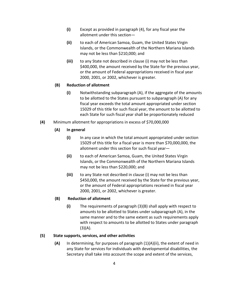- **(i)** Except as provided in paragraph (4), for any fiscal year the allotment under this section—
- **(ii)** to each of American Samoa, Guam, the United States Virgin Islands, or the Commonwealth of the Northern Mariana Islands may not be less than \$210,000; and
- **(iii)** to any State not described in clause (i) may not be less than \$400,000, the amount received by the State for the previous year, or the amount of Federal appropriations received in fiscal year 2000, 2001, or 2002, whichever is greater.

#### **(B) Reduction of allotment**

- **(i)** Notwithstanding subparagraph (A), if the aggregate of the amounts to be allotted to the States pursuant to subparagraph (A) for any fiscal year exceeds the total amount appropriated under section 15029 of this title for such fiscal year, the amount to be allotted to each State for such fiscal year shall be proportionately reduced
- **(4)** Minimum allotment for appropriations in excess of \$70,000,000
	- **(A) In general**
		- **(i)** In any case in which the total amount appropriated under section 15029 of this title for a fiscal year is more than \$70,000,000, the allotment under this section for such fiscal year—
		- **(ii)** to each of American Samoa, Guam, the United States Virgin Islands, or the Commonwealth of the Northern Mariana Islands may not be less than \$220,000; and
		- **(iii)** to any State not described in clause (i) may not be less than \$450,000, the amount received by the State for the previous year, or the amount of Federal appropriations received in fiscal year 2000, 2001, or 2002, whichever is greater.

#### **(B) Reduction of allotment**

**(i)** The requirements of paragraph (3)(B) shall apply with respect to amounts to be allotted to States under subparagraph (A), in the same manner and to the same extent as such requirements apply with respect to amounts to be allotted to States under paragraph  $(3)(A).$ 

#### **(5) State supports, services, and other activities**

**(A)** In determining, for purposes of paragraph (1)(A)(ii), the extent of need in any State for services for individuals with developmental disabilities, the Secretary shall take into account the scope and extent of the services,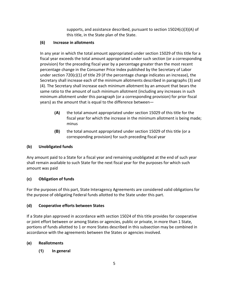supports, and assistance described, pursuant to section 15024(c)(3)(A) of this title, in the State plan of the State.

# **(6) Increase in allotments**

In any year in which the total amount appropriated under section 15029 of this title for a fiscal year exceeds the total amount appropriated under such section (or a corresponding provision) for the preceding fiscal year by a percentage greater than the most recent percentage change in the Consumer Price Index published by the Secretary of Labor under section  $720(c)(1)$  of title 29 (if the percentage change indicates an increase), the Secretary shall increase each of the minimum allotments described in paragraphs (3) and (4). The Secretary shall increase each minimum allotment by an amount that bears the same ratio to the amount of such minimum allotment (including any increases in such minimum allotment under this paragraph (or a corresponding provision) for prior fiscal years) as the amount that is equal to the difference between—

- **(A)** the total amount appropriated under section 15029 of this title for the fiscal year for which the increase in the minimum allotment is being made; minus
- **(B)** the total amount appropriated under section 15029 of this title (or a corresponding provision) for such preceding fiscal year

# **(b) Unobligated funds**

Any amount paid to a State for a fiscal year and remaining unobligated at the end of such year shall remain available to such State for the next fiscal year for the purposes for which such amount was paid

# **(c) Obligation of funds**

For the purposes of this part, State Interagency Agreements are considered valid obligations for the purpose of obligating Federal funds allotted to the State under this part.

# **(d) Cooperative efforts between States**

If a State plan approved in accordance with section 15024 of this title provides for cooperative or joint effort between or among States or agencies, public or private, in more than 1 State, portions of funds allotted to 1 or more States described in this subsection may be combined in accordance with the agreements between the States or agencies involved.

# **(e) Reallotments**

**(1) In general**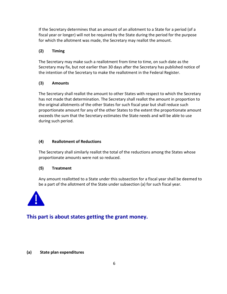If the Secretary determines that an amount of an allotment to a State for a period (of a fiscal year or longer) will not be required by the State during the period for the purpose for which the allotment was made, the Secretary may reallot the amount.

## **(2) Timing**

The Secretary may make such a reallotment from time to time, on such date as the Secretary may fix, but not earlier than 30 days after the Secretary has published notice of the intention of the Secretary to make the reallotment in the Federal Register.

## **(3) Amounts**

The Secretary shall reallot the amount to other States with respect to which the Secretary has not made that determination. The Secretary shall reallot the amount in proportion to the original allotments of the other States for such fiscal year but shall reduce such proportionate amount for any of the other States to the extent the proportionate amount exceeds the sum that the Secretary estimates the State needs and will be able to use during such period.

#### **(4) Reallotment of Reductions**

The Secretary shall similarly reallot the total of the reductions among the States whose proportionate amounts were not so reduced.

#### **(5) Treatment**

Any amount reallotted to a State under this subsection for a fiscal year shall be deemed to be a part of the allotment of the State under subsection (a) for such fiscal year.



# <span id="page-8-0"></span>**This part is about states getting the grant money.**

#### **(a) State plan expenditures**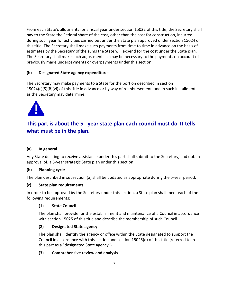From each State's allotments for a fiscal year under section 15022 of this title, the Secretary shall pay to the State the Federal share of the cost, other than the cost for construction, incurred during such year for activities carried out under the State plan approved under section 15024 of this title. The Secretary shall make such payments from time to time in advance on the basis of estimates by the Secretary of the sums the State will expend for the cost under the State plan. The Secretary shall make such adjustments as may be necessary to the payments on account of previously made underpayments or overpayments under this section.

# **(b) Designated State agency expenditures**

The Secretary may make payments to a State for the portion described in section  $15024(c)(5)(B)(vi)$  of this title in advance or by way of reimbursement, and in such installments as the Secretary may determine.



# **This part is about the 5 - year state plan each council must do**. **It tells what must be in the plan.**

## <span id="page-9-0"></span>**(a) In general**

Any State desiring to receive assistance under this part shall submit to the Secretary, and obtain approval of, a 5-year strategic State plan under this section

## **(b) Planning cycle**

The plan described in subsection (a) shall be updated as appropriate during the 5-year period.

#### **(c) State plan requirements**

In order to be approved by the Secretary under this section, a State plan shall meet each of the following requirements:

#### **(1) State Council**

The plan shall provide for the establishment and maintenance of a Council in accordance with section 15025 of this title and describe the membership of such Council.

## **(2) Designated State agency**

The plan shall identify the agency or office within the State designated to support the Council in accordance with this section and section 15025(d) of this title (referred to in this part as a "designated State agency").

## **(3) Comprehensive review and analysis**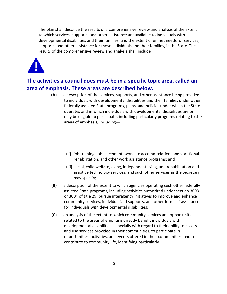The plan shall describe the results of a comprehensive review and analysis of the extent to which services, supports, and other assistance are available to individuals with developmental disabilities and their families, and the extent of unmet needs for services, supports, and other assistance for those individuals and their families, in the State. The results of the comprehensive review and analysis shall include



# **The activities a council does must be in a specific topic area, called an area of emphasis. These areas are described below.**

- **(A)** a description of the services, supports, and other assistance being provided to individuals with developmental disabilities and their families under other federally assisted State programs, plans, and policies under which the State operates and in which individuals with developmental disabilities are or may be eligible to participate, including particularly programs relating to the **areas of emphasis,** including—
	- **(ii)** job training, job placement, worksite accommodation, and vocational rehabilitation, and other work assistance programs; and
	- **(iii)** social, child welfare, aging, independent living, and rehabilitation and assistive technology services, and such other services as the Secretary may specify;
- **(B)** a description of the extent to which agencies operating such other federally assisted State programs, including activities authorized under section 3003 or 3004 of title 29, pursue interagency initiatives to improve and enhance community services, individualized supports, and other forms of assistance for individuals with developmental disabilities;
- **(C)** an analysis of the extent to which community services and opportunities related to the areas of emphasis directly benefit individuals with developmental disabilities, especially with regard to their ability to access and use services provided in their communities, to participate in opportunities, activities, and events offered in their communities, and to contribute to community life, identifying particularly—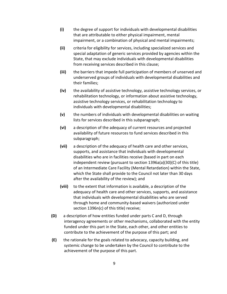- **(i)** the degree of support for individuals with developmental disabilities that are attributable to either physical impairment, mental impairment, or a combination of physical and mental impairments;
- **(ii)** criteria for eligibility for services, including specialized services and special adaptation of generic services provided by agencies within the State, that may exclude individuals with developmental disabilities from receiving services described in this clause;
- **(iii)** the barriers that impede full participation of members of unserved and underserved groups of individuals with developmental disabilities and their families;
- **(iv)** the availability of assistive technology, assistive technology services, or rehabilitation technology, or information about assistive technology, assistive technology services, or rehabilitation technology to individuals with developmental disabilities;
- **(v)** the numbers of individuals with developmental disabilities on waiting lists for services described in this subparagraph;
- **(vi)** a description of the adequacy of current resources and projected availability of future resources to fund services described in this subparagraph;
- **(vii)** a description of the adequacy of health care and other services, supports, and assistance that individuals with developmental disabilities who are in facilities receive (based in part on each independent review (pursuant to section 1396a(a)(30)(C) of this title) of an Intermediate Care Facility (Mental Retardation) within the State, which the State shall provide to the Council not later than 30 days after the availability of the review); and
- **(viii)** to the extent that information is available, a description of the adequacy of health care and other services, supports, and assistance that individuals with developmental disabilities who are served through home and community-based waivers (authorized under section 1396n(c) of this title) receive;
- **(D)** a description of how entities funded under parts C and D, through interagency agreements or other mechanisms, collaborated with the entity funded under this part in the State, each other, and other entities to contribute to the achievement of the purpose of this part; and
- **(E)** the rationale for the goals related to advocacy, capacity building, and systemic change to be undertaken by the Council to contribute to the achievement of the purpose of this part.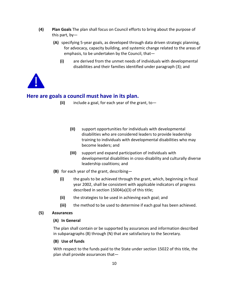- **(4) Plan Goals** The plan shall focus on Council efforts to bring about the purpose of this part, by—
	- **(A)** specifying 5-year goals, as developed through data driven strategic planning, for advocacy, capacity building, and systemic change related to the areas of emphasis, to be undertaken by the Council, that—
		- **(i)** are derived from the unmet needs of individuals with developmental disabilities and their families identified under paragraph (3); and



# **Here are goals a council must have in its plan.**

- **(ii)** include a goal, for each year of the grant, to—
	- **(II)** support opportunities for individuals with developmental disabilities who are considered leaders to provide leadership training to individuals with developmental disabilities who may become leaders; and
	- **(III)** support and expand participation of individuals with developmental disabilities in cross-disability and culturally diverse leadership coalitions; and
- **(B)** for each year of the grant, describing—
	- **(i)** the goals to be achieved through the grant, which, beginning in fiscal year 2002, shall be consistent with applicable indicators of progress described in section 15004(a)(3) of this title;
	- **(ii)** the strategies to be used in achieving each goal; and
	- **(iii)** the method to be used to determine if each goal has been achieved.

#### **(5) Assurances**

#### **(A) In General**

The plan shall contain or be supported by assurances and information described in subparagraphs (B) through (N) that are satisfactory to the Secretary.

#### **(B) Use of funds**

With respect to the funds paid to the State under section 15022 of this title, the plan shall provide assurances that—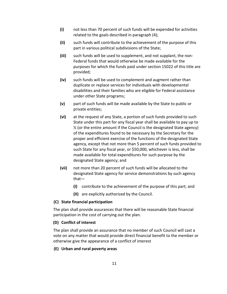- **(i)** not less than 70 percent of such funds will be expended for activities related to the goals described in paragraph (4);
- **(ii)** such funds will contribute to the achievement of the purpose of this part in various political subdivisions of the State;
- **(iii)** such funds will be used to supplement, and not supplant, the non-Federal funds that would otherwise be made available for the purposes for which the funds paid under section 15022 of this title are provided;
- **(iv)** such funds will be used to complement and augment rather than duplicate or replace services for individuals with developmental disabilities and their families who are eligible for Federal assistance under other State programs;
- **(v)** part of such funds will be made available by the State to public or private entities;
- **(vi)** at the request of any State, a portion of such funds provided to such State under this part for any fiscal year shall be available to pay up to  $\frac{1}{2}$  (or the entire amount if the Council is the designated State agency) of the expenditures found to be necessary by the Secretary for the proper and efficient exercise of the functions of the designated State agency, except that not more than 5 percent of such funds provided to such State for any fiscal year, or \$50,000, whichever is less, shall be made available for total expenditures for such purpose by the designated State agency; and
- **(vii)** not more than 20 percent of such funds will be allocated to the designated State agency for service demonstrations by such agency that—
	- **(I)** contribute to the achievement of the purpose of this part; and
	- **(II)** are explicitly authorized by the Council.

#### **(C) State financial participation**

The plan shall provide assurances that there will be reasonable State financial participation in the cost of carrying out the plan.

#### **(D) Conflict of interest**

The plan shall provide an assurance that no member of such Council will cast a vote on any matter that would provide direct financial benefit to the member or otherwise give the appearance of a conflict of interest

#### **(E) Urban and rural poverty areas**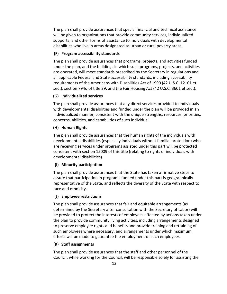The plan shall provide assurances that special financial and technical assistance will be given to organizations that provide community services, individualized supports, and other forms of assistance to individuals with developmental disabilities who live in areas designated as urban or rural poverty areas.

#### **(F) Program accessibility standards**

The plan shall provide assurances that programs, projects, and activities funded under the plan, and the buildings in which such programs, projects, and activities are operated, will meet standards prescribed by the Secretary in regulations and all applicable Federal and State accessibility standards, including accessibility requirements of the Americans with Disabilities Act of 1990 (42 U.S.C. 12101 et seq.), section 794d of title 29, and the Fair Housing Act (42 U.S.C. 3601 et seq.).

#### **(G) Individualized services**

The plan shall provide assurances that any direct services provided to individuals with developmental disabilities and funded under the plan will be provided in an individualized manner, consistent with the unique strengths, resources, priorities, concerns, abilities, and capabilities of such individual.

#### **(H) Human Rights**

The plan shall provide assurances that the human rights of the individuals with developmental disabilities (especially individuals without familial protection) who are receiving services under programs assisted under this part will be protected consistent with section 15009 of this title (relating to rights of individuals with developmental disabilities).

#### **(I) Minority participation**

The plan shall provide assurances that the State has taken affirmative steps to assure that participation in programs funded under this part is geographically representative of the State, and reflects the diversity of the State with respect to race and ethnicity.

#### **(J) Employee restrictions**

The plan shall provide assurances that fair and equitable arrangements (as determined by the Secretary after consultation with the Secretary of Labor) will be provided to protect the interests of employees affected by actions taken under the plan to provide community living activities, including arrangements designed to preserve employee rights and benefits and provide training and retraining of such employees where necessary, and arrangements under which maximum efforts will be made to guarantee the employment of such employees.

#### **(K) Staff assignments**

The plan shall provide assurances that the staff and other personnel of the Council, while working for the Council, will be responsible solely for assisting the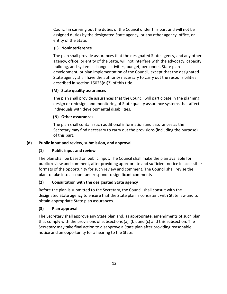Council in carrying out the duties of the Council under this part and will not be assigned duties by the designated State agency, or any other agency, office, or entity of the State.

## **(L) Noninterference**

The plan shall provide assurances that the designated State agency, and any other agency, office, or entity of the State, will not interfere with the advocacy, capacity building, and systemic change activities, budget, personnel, State plan development, or plan implementation of the Council, except that the designated State agency shall have the authority necessary to carry out the responsibilities described in section 15025(d)(3) of this title

# **(M) State quality assurances**

The plan shall provide assurances that the Council will participate in the planning, design or redesign, and monitoring of State quality assurance systems that affect individuals with developmental disabilities.

# **(N) Other assurances**

The plan shall contain such additional information and assurances as the Secretary may find necessary to carry out the provisions (including the purpose) of this part.

# **(d) Public input and review, submission, and approval**

# **(1) Public input and review**

The plan shall be based on public input. The Council shall make the plan available for public review and comment, after providing appropriate and sufficient notice in accessible formats of the opportunity for such review and comment. The Council shall revise the plan to take into account and respond to significant comments

# **(2) Consultation with the designated State agency**

Before the plan is submitted to the Secretary, the Council shall consult with the designated State agency to ensure that the State plan is consistent with State law and to obtain appropriate State plan assurances.

# **(3) Plan approval**

The Secretary shall approve any State plan and, as appropriate, amendments of such plan that comply with the provisions of subsections (a), (b), and (c) and this subsection. The Secretary may take final action to disapprove a State plan after providing reasonable notice and an opportunity for a hearing to the State.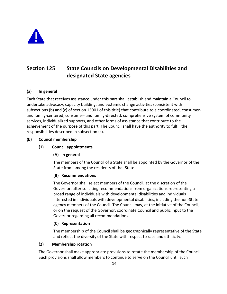

# <span id="page-16-0"></span>**Section 125 State Councils on Developmental Disabilities and designated State agencies**

#### **(a) In general**

Each State that receives assistance under this part shall establish and maintain a Council to undertake advocacy, capacity building, and systemic change activities (consistent with subsections (b) and (c) of section 15001 of this title) that contribute to a coordinated, consumerand family-centered, consumer- and family-directed, comprehensive system of community services, individualized supports, and other forms of assistance that contribute to the achievement of the purpose of this part. The Council shall have the authority to fulfill the responsibilities described in subsection (c).

#### **(b) Council membership**

#### **(1) Council appointments**

#### **(A) In general**

The members of the Council of a State shall be appointed by the Governor of the State from among the residents of that State.

#### **(B) Recommendations**

The Governor shall select members of the Council, at the discretion of the Governor, after soliciting recommendations from organizations representing a broad range of individuals with developmental disabilities and individuals interested in individuals with developmental disabilities, including the non-State agency members of the Council. The Council may, at the initiative of the Council, or on the request of the Governor, coordinate Council and public input to the Governor regarding all recommendations.

#### **(C) Representation**

The membership of the Council shall be geographically representative of the State and reflect the diversity of the State with respect to race and ethnicity.

#### **(2) Membership rotation**

The Governor shall make appropriate provisions to rotate the membership of the Council. Such provisions shall allow members to continue to serve on the Council until such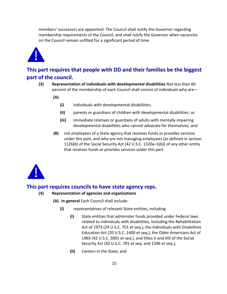members' successors are appointed. The Council shall notify the Governor regarding membership requirements of the Council, and shall notify the Governor when vacancies on the Council remain unfilled for a significant period of time.



# **This part requires that people with DD and their families be the biggest part of the council.**

- **(3) Representation of individuals with developmental disabilities** Not less than 60 percent of the membership of each Council shall consist of individuals who are—
	- **(A)**
		- **(i)** individuals with developmental disabilities;
		- **(ii)** parents or guardians of children with developmental disabilities; or
		- **(iii)** immediate relatives or guardians of adults with mentally impairing developmental disabilities who cannot advocate for themselves; and
	- **(B)** not employees of a State agency that receives funds or provides services under this part, and who are not managing employees (as defined in section 1126(b) of the Social Security Act (42 U.S.C. 1320a–5(b)) of any other entity that receives funds or provides services under this part.



# **This part requires councils to have state agency reps.**

- **(4) Representation of agencies and organizations**
	- **(A) In general** Each Council shall include-
		- **(i)** representatives of relevant State entities, including
			- **(I)** State entities that administer funds provided under Federal laws related to individuals with disabilities, including the Rehabilitation Act of 1973 (29 U.S.C. 701 et seq.), the Individuals with Disabilities Education Act (20 U.S.C. 1400 et seq.), the Older Americans Act of 1965 (42 U.S.C. 3001 et seq.), and titles V and XIX of the Social Security Act (42 U.S.C. 701 et seq. and 1396 et seq.);
			- **(II)** Centers in the State; and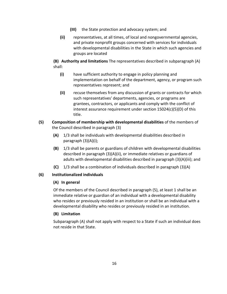- **(III)** the State protection and advocacy system; and
- **(ii)** representatives, at all times, of local and nongovernmental agencies, and private nonprofit groups concerned with services for individuals with developmental disabilities in the State in which such agencies and groups are located

**(B) Authority and limitations** The representatives described in subparagraph (A) shall:

- **(i)** have sufficient authority to engage in policy planning and implementation on behalf of the department, agency, or program such representatives represent; and
- **(ii)** recuse themselves from any discussion of grants or contracts for which such representatives' departments, agencies, or programs are grantees, contractors, or applicants and comply with the conflict of interest assurance requirement under section 15024(c)(5)(D) of this title.
- **(5) Composition of membership with developmental disabilities** of the members of the Council described in paragraph (3)
	- **(A)** 1/3 shall be individuals with developmental disabilities described in paragraph (3)(A)(i);
	- **(B)** 1/3 shall be parents or guardians of children with developmental disabilities described in paragraph (3)(A)(ii), or immediate relatives or guardians of adults with developmental disabilities described in paragraph (3)(A)(iii); and
	- **(C)** 1/3 shall be a combination of individuals described in paragraph (3)(A)

## **(6) Institutionalized individuals**

## **(A) In general**

Of the members of the Council described in paragraph (5), at least 1 shall be an immediate relative or guardian of an individual with a developmental disability who resides or previously resided in an institution or shall be an individual with a developmental disability who resides or previously resided in an institution.

## **(B) Limitation**

Subparagraph (A) shall not apply with respect to a State if such an individual does not reside in that State.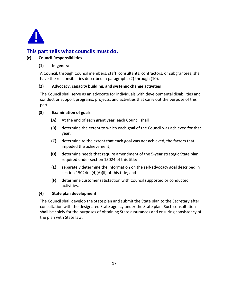

# **This part tells what councils must do.**

## **(c) Council Responsibilities**

#### **(1) In general**

A Council, through Council members, staff, consultants, contractors, or subgrantees, shall have the responsibilities described in paragraphs (2) through (10).

#### **(2) Advocacy, capacity building, and systemic change activities**

The Council shall serve as an advocate for individuals with developmental disabilities and conduct or support programs, projects, and activities that carry out the purpose of this part.

#### **(3) Examination of goals**

- **(A)** At the end of each grant year, each Council shall
- **(B)** determine the extent to which each goal of the Council was achieved for that year;
- **(C)** determine to the extent that each goal was not achieved, the factors that impeded the achievement;
- **(D)** determine needs that require amendment of the 5-year strategic State plan required under section 15024 of this title;
- **(E)** separately determine the information on the self-advocacy goal described in section 15024(c)(4)(A)(ii) of this title; and
- **(F)** determine customer satisfaction with Council supported or conducted activities.

#### **(4) State plan development**

The Council shall develop the State plan and submit the State plan to the Secretary after consultation with the designated State agency under the State plan. Such consultation shall be solely for the purposes of obtaining State assurances and ensuring consistency of the plan with State law.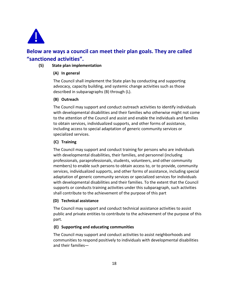

# **Below are ways a council can meet their plan goals. They are called "sanctioned activities".**

#### **(5) State plan implementation**

#### **(A) In general**

The Council shall implement the State plan by conducting and supporting advocacy, capacity building, and systemic change activities such as those described in subparagraphs (B) through (L).

#### **(B) Outreach**

The Council may support and conduct outreach activities to identify individuals with developmental disabilities and their families who otherwise might not come to the attention of the Council and assist and enable the individuals and families to obtain services, individualized supports, and other forms of assistance, including access to special adaptation of generic community services or specialized services.

#### **(C) Training**

The Council may support and conduct training for persons who are individuals with developmental disabilities, their families, and personnel (including professionals, paraprofessionals, students, volunteers, and other community members) to enable such persons to obtain access to, or to provide, community services, individualized supports, and other forms of assistance, including special adaptation of generic community services or specialized services for individuals with developmental disabilities and their families. To the extent that the Council supports or conducts training activities under this subparagraph, such activities shall contribute to the achievement of the purpose of this part

#### **(D) Technical assistance**

The Council may support and conduct technical assistance activities to assist public and private entities to contribute to the achievement of the purpose of this part.

#### **(E) Supporting and educating communities**

The Council may support and conduct activities to assist neighborhoods and communities to respond positively to individuals with developmental disabilities and their families—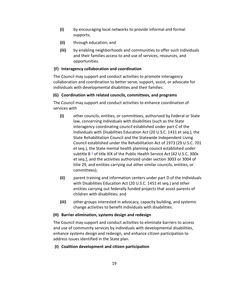- **(i)** by encouraging local networks to provide informal and formal supports;
- **(ii)** through education; and
- **(iii)** by enabling neighborhoods and communities to offer such individuals and their families access to and use of services, resources, and opportunities.

#### **(F) Interagency collaboration and coordination**

The Council may support and conduct activities to promote interagency collaboration and coordination to better serve, support, assist, or advocate for individuals with developmental disabilities and their families.

## **(G) Coordination with related councils, committees, and programs**

The Council may support and conduct activities to enhance coordination of services with

- **(i)** other councils, entities, or committees, authorized by Federal or State law, concerning individuals with disabilities (such as the State interagency coordinating council established under part C of the Individuals with Disabilities Education Act (20 U.S.C. 1431 et seq.), the State Rehabilitation Council and the Statewide Independent Living Council established under the Rehabilitation Act of 1973 (29 U.S.C. 701 et seq.), the State mental health planning council established under subtitle B $\frac{1}{2}$  $\frac{1}{2}$  $\frac{1}{2}$  of title XIX of the Public Health Service Act [42 U.S.C. 300x et seq.], and the activities authorized under section 3003 or 3004 of title 29, and entities carrying out other similar councils, entities, or committees);
- **(ii)** parent training and information centers under part D of the Individuals with Disabilities Education Act (20 U.S.C. 1451 et seq.) and other entities carrying out federally funded projects that assist parents of children with disabilities; and
- **(iii)** other groups interested in advocacy, capacity building, and systemic change activities to benefit individuals with disabilities.

#### **(H) Barrier elimination, systems design and redesign**

The Council may support and conduct activities to eliminate barriers to access and use of community services by individuals with developmental disabilities, enhance systems design and redesign, and enhance citizen participation to address issues identified in the State plan.

## **(I) Coalition development and citizen participation**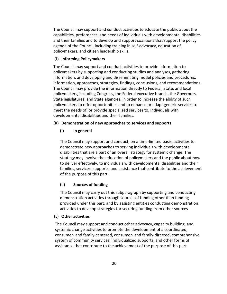The Council may support and conduct activities to educate the public about the capabilities, preferences, and needs of individuals with developmental disabilities and their families and to develop and support coalitions that support the policy agenda of the Council, including training in self-advocacy, education of policymakers, and citizen leadership skills.

#### **(J) Informing Policymakers**

The Council may support and conduct activities to provide information to policymakers by supporting and conducting studies and analyses, gathering information, and developing and disseminating model policies and procedures, information, approaches, strategies, findings, conclusions, and recommendations. The Council may provide the information directly to Federal, State, and local policymakers, including Congress, the Federal executive branch, the Governors, State legislatures, and State agencies, in order to increase the ability of such policymakers to offer opportunities and to enhance or adapt generic services to meet the needs of, or provide specialized services to, individuals with developmental disabilities and their families.

#### **(K) Demonstration of new approaches to services and supports**

#### **(i) In general**

The Council may support and conduct, on a time-limited basis, activities to demonstrate new approaches to serving individuals with developmental disabilities that are a part of an overall strategy for systemic change. The strategy may involve the education of policymakers and the public about how to deliver effectively, to individuals with developmental disabilities and their families, services, supports, and assistance that contribute to the achievement of the purpose of this part.

#### **(ii) Sources of funding**

The Council may carry out this subparagraph by supporting and conducting demonstration activities through sources of funding other than funding provided under this part, and by assisting entities conducting demonstration activities to develop strategies for securing funding from other sources

#### **(L) Other activities**

The Council may support and conduct other advocacy, capacity building, and systemic change activities to promote the development of a coordinated, consumer- and family-centered, consumer- and family-directed, comprehensive system of community services, individualized supports, and other forms of assistance that contribute to the achievement of the purpose of this part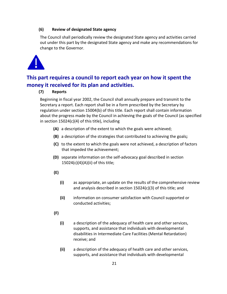#### **(6) Review of designated State agency**

The Council shall periodically review the designated State agency and activities carried out under this part by the designated State agency and make any recommendations for change to the Governor.



# **This part requires a council to report each year on how it spent the money it received for its plan and activities.**

#### **(7) Reports**

Beginning in fiscal year 2002, the Council shall annually prepare and transmit to the Secretary a report. Each report shall be in a form prescribed by the Secretary by regulation under section 15004(b) of this title. Each report shall contain information about the progress made by the Council in achieving the goals of the Council (as specified in section 15024(c)(4) of this title), including

- **(A)** a description of the extent to which the goals were achieved;
- **(B)** a description of the strategies that contributed to achieving the goals**;**
- **(C)** to the extent to which the goals were not achieved, a description of factors that impeded the achievement;
- **(D)** separate information on the self-advocacy goal described in section 15024(c)(4)(A)(ii) of this title;
- **(E)**
	- **(i)** as appropriate, an update on the results of the comprehensive review and analysis described in section 15024(c)(3) of this title; and
	- **(ii)** information on consumer satisfaction with Council supported or conducted activities;
- **(F)**
- **(i)** a description of the adequacy of health care and other services, supports, and assistance that individuals with developmental disabilities in Intermediate Care Facilities (Mental Retardation) receive; and
- **(ii)** a description of the adequacy of health care and other services, supports, and assistance that individuals with developmental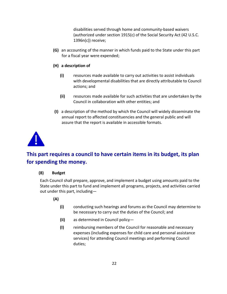disabilities served through home and community-based waivers (authorized under section 1915(c) of the Social Security Act (42 U.S.C. 1396n(c)) receive;

- **(G)** an accounting of the manner in which funds paid to the State under this part for a fiscal year were expended;
- **(H) a description of**
	- **(i)** resources made available to carry out activities to assist individuals with developmental disabilities that are directly attributable to Council actions; and
	- **(ii)** resources made available for such activities that are undertaken by the Council in collaboration with other entities; and
- **(I)** a description of the method by which the Council will widely disseminate the annual report to affected constituencies and the general public and will assure that the report is available in accessible formats.



# **This part requires a council to have certain items in its budget, its plan for spending the money.**

#### **(8) Budget**

Each Council shall prepare, approve, and implement a budget using amounts paid to the State under this part to fund and implement all programs, projects, and activities carried out under this part, including—

## **(A)**

- **(i)** conducting such hearings and forums as the Council may determine to be necessary to carry out the duties of the Council; and
- **(ii)** as determined in Council policy—
- **(I)** reimbursing members of the Council for reasonable and necessary expenses (including expenses for child care and personal assistance services) for attending Council meetings and performing Council duties;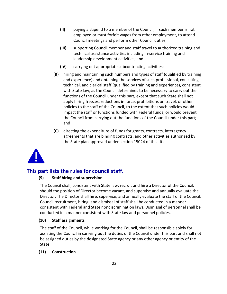- **(II)** paying a stipend to a member of the Council, if such member is not employed or must forfeit wages from other employment, to attend Council meetings and perform other Council duties;
- **(III)** supporting Council member and staff travel to authorized training and technical assistance activities including in-service training and leadership development activities; and
- **(IV)** carrying out appropriate subcontracting activities;
- **(B)** hiring and maintaining such numbers and types of staff (qualified by training and experience) and obtaining the services of such professional, consulting, technical, and clerical staff (qualified by training and experience), consistent with State law, as the Council determines to be necessary to carry out the functions of the Council under this part, except that such State shall not apply hiring freezes, reductions in force, prohibitions on travel, or other policies to the staff of the Council, to the extent that such policies would impact the staff or functions funded with Federal funds, or would prevent the Council from carrying out the functions of the Council under this part; and
- **(C)** directing the expenditure of funds for grants, contracts, interagency agreements that are binding contracts, and other activities authorized by the State plan approved under section 15024 of this title.



# **This part lists the rules for council staff.**

#### **(9) Staff hiring and supervision**

The Council shall, consistent with State law, recruit and hire a Director of the Council, should the position of Director become vacant, and supervise and annually evaluate the Director. The Director shall hire, supervise, and annually evaluate the staff of the Council. Council recruitment, hiring, and dismissal of staff shall be conducted in a manner consistent with Federal and State nondiscrimination laws. Dismissal of personnel shall be conducted in a manner consistent with State law and personnel policies.

#### **(10) Staff assignments**

The staff of the Council, while working for the Council, shall be responsible solely for assisting the Council in carrying out the duties of the Council under this part and shall not be assigned duties by the designated State agency or any other agency or entity of the State.

#### **(11) Construction**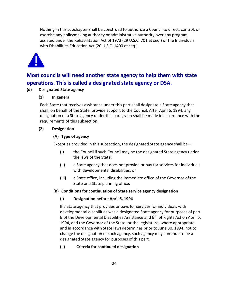Nothing in this subchapter shall be construed to authorize a Council to direct, control, or exercise any policymaking authority or administrative authority over any program assisted under the Rehabilitation Act of 1973 (29 U.S.C. 701 et seq.) or the Individuals with Disabilities Education Act (20 U.S.C. 1400 et seq.).



# **Most councils will need another state agency to help them with state operations. This is called a designated state agency or DSA.**

#### **(d) Designated State agency**

#### **(1) In general**

Each State that receives assistance under this part shall designate a State agency that shall, on behalf of the State, provide support to the Council. After April 6, 1994, any designation of a State agency under this paragraph shall be made in accordance with the requirements of this subsection.

#### **(2) Designation**

#### **(A) Type of agency**

Except as provided in this subsection, the designated State agency shall be—

- **(i)** the Council if such Council may be the designated State agency under the laws of the State;
- **(ii)** a State agency that does not provide or pay for services for individuals with developmental disabilities; or
- **(iii)** a State office, including the immediate office of the Governor of the State or a State planning office.

#### **(B) Conditions for continuation of State service agency designation**

#### **(i) Designation before April 6, 1994**

If a State agency that provides or pays for services for individuals with developmental disabilities was a designated State agency for purposes of part B of the Developmental Disabilities Assistance and Bill of Rights Act on April 6, 1994, and the Governor of the State (or the legislature, where appropriate and in accordance with State law) determines prior to June 30, 1994, not to change the designation of such agency, such agency may continue to be a designated State agency for purposes of this part.

#### **(ii) Criteria for continued designation**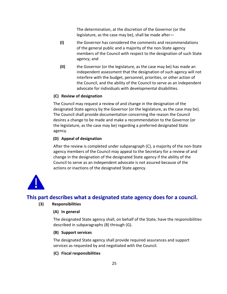The determination, at the discretion of the Governor (or the legislature, as the case may be), shall be made after—

- **(I)** the Governor has considered the comments and recommendations of the general public and a majority of the non-State agency members of the Council with respect to the designation of such State agency; and
- **(II)** the Governor (or the legislature, as the case may be) has made an independent assessment that the designation of such agency will not interfere with the budget, personnel, priorities, or other action of the Council, and the ability of the Council to serve as an independent advocate for individuals with developmental disabilities.

#### **(C) Review of designation**

The Council may request a review of and change in the designation of the designated State agency by the Governor (or the legislature, as the case may be). The Council shall provide documentation concerning the reason the Council desires a change to be made and make a recommendation to the Governor (or the legislature, as the case may be) regarding a preferred designated State agency.

#### **(D) Appeal of designation**

After the review is completed under subparagraph (C), a majority of the non-State agency members of the Council may appeal to the Secretary for a review of and change in the designation of the designated State agency if the ability of the Council to serve as an independent advocate is not assured because of the actions or inactions of the designated State agency.



# **This part describes what a designated state agency does for a council.**

#### **(3) Responsibilities**

#### **(A) In general**

The designated State agency shall, on behalf of the State, have the responsibilities described in subparagraphs (B) through (G).

#### **(B) Support services**

The designated State agency shall provide required assurances and support services as requested by and negotiated with the Council.

**(C) Fiscal responsibilities**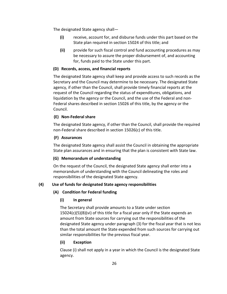The designated State agency shall—

- **(i)** receive, account for, and disburse funds under this part based on the State plan required in section 15024 of this title; and
- **(ii)** provide for such fiscal control and fund accounting procedures as may be necessary to assure the proper disbursement of, and accounting for, funds paid to the State under this part.

#### **(D) Records, access, and financial reports**

The designated State agency shall keep and provide access to such records as the Secretary and the Council may determine to be necessary. The designated State agency, if other than the Council, shall provide timely financial reports at the request of the Council regarding the status of expenditures, obligations, and liquidation by the agency or the Council, and the use of the Federal and non-Federal shares described in section 15026 of this title, by the agency or the Council.

#### **(E) Non-Federal share**

The designated State agency, if other than the Council, shall provide the required non-Federal share described in section 15026(c) of this title.

#### **(F) Assurances**

The designated State agency shall assist the Council in obtaining the appropriate State plan assurances and in ensuring that the plan is consistent with State law.

## **(G) Memorandum of understanding**

On the request of the Council, the designated State agency shall enter into a memorandum of understanding with the Council delineating the roles and responsibilities of the designated State agency.

## **(4) Use of funds for designated State agency responsibilities**

#### **(A) Condition for Federal funding**

## **(i) In general**

The Secretary shall provide amounts to a State under section 15024(c)(5)(B)(vi) of this title for a fiscal year only if the State expends an amount from State sources for carrying out the responsibilities of the designated State agency under paragraph (3) for the fiscal year that is not less than the total amount the State expended from such sources for carrying out similar responsibilities for the previous fiscal year.

#### **(ii) Exception**

Clause (i) shall not apply in a year in which the Council is the designated State agency.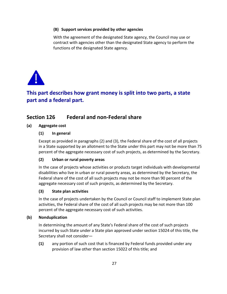#### **(B) Support services provided by other agencies**

With the agreement of the designated State agency, the Council may use or contract with agencies other than the designated State agency to perform the functions of the designated State agency.



# **This part describes how grant money is split into two parts, a state part and a federal part.**

# <span id="page-29-0"></span>**Section 126 Federal and non-Federal share**

#### **(a) Aggregate cost**

#### **(1) In general**

Except as provided in paragraphs (2) and (3), the Federal share of the cost of all projects in a State supported by an allotment to the State under this part may not be more than 75 percent of the aggregate necessary cost of such projects, as determined by the Secretary.

## **(2) Urban or rural poverty areas**

In the case of projects whose activities or products target individuals with developmental disabilities who live in urban or rural poverty areas, as determined by the Secretary, the Federal share of the cost of all such projects may not be more than 90 percent of the aggregate necessary cost of such projects, as determined by the Secretary.

#### **(3) State plan activities**

In the case of projects undertaken by the Council or Council staff to implement State plan activities, the Federal share of the cost of all such projects may be not more than 100 percent of the aggregate necessary cost of such activities.

#### **(b) Nonduplication**

In determining the amount of any State's Federal share of the cost of such projects incurred by such State under a State plan approved under section 15024 of this title, the Secretary shall not consider—

**(1)** any portion of such cost that is financed by Federal funds provided under any provision of law other than section 15022 of this title; and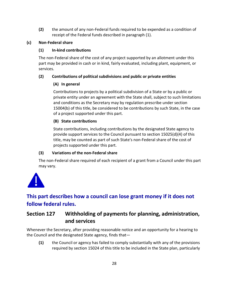**(2)** the amount of any non-Federal funds required to be expended as a condition of receipt of the Federal funds described in paragraph (1).

# **(c) Non-Federal share**

# **(1) In-kind contributions**

The non-Federal share of the cost of any project supported by an allotment under this part may be provided in cash or in kind, fairly evaluated, including plant, equipment, or services.

# **(2) Contributions of political subdivisions and public or private entities**

# **(A) In general**

Contributions to projects by a political subdivision of a State or by a public or private entity under an agreement with the State shall, subject to such limitations and conditions as the Secretary may by regulation prescribe under section 15004(b) of this title, be considered to be contributions by such State, in the case of a project supported under this part.

# **(B) State contributions**

State contributions, including contributions by the designated State agency to provide support services to the Council pursuant to section 15025(d)(4) of this title, may be counted as part of such State's non-Federal share of the cost of projects supported under this part.

## **(3) Variations of the non-Federal share**

The non-Federal share required of each recipient of a grant from a Council under this part may vary.



# **This part describes how a council can lose grant money if it does not follow federal rules.**

# <span id="page-30-0"></span>**Section 127 Withholding of payments for planning, administration, and services**

Whenever the Secretary, after providing reasonable notice and an opportunity for a hearing to the Council and the designated State agency, finds that—

**(1)** the Council or agency has failed to comply substantially with any of the provisions required by section 15024 of this title to be included in the State plan, particularly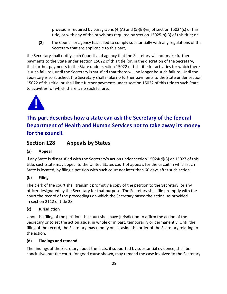provisions required by paragraphs (4)(A) and (5)(B)(vii) of section 15024(c) of this title, or with any of the provisions required by section 15025(b)(3) of this title; or

**(2)** the Council or agency has failed to comply substantially with any regulations of the Secretary that are applicable to this part,

the Secretary shall notify such Council and agency that the Secretary will not make further payments to the State under section 15022 of this title (or, in the discretion of the Secretary, that further payments to the State under section 15022 of this title for activities for which there is such failure), until the Secretary is satisfied that there will no longer be such failure. Until the Secretary is so satisfied, the Secretary shall make no further payments to the State under section 15022 of this title, or shall limit further payments under section 15022 of this title to such State to activities for which there is no such failure.



# **This part describes how a state can ask the Secretary of the federal Department of Health and Human Services not to take away its money for the council.**

<span id="page-31-0"></span>**Section 128 Appeals by States**

# **(a) Appeal**

If any State is dissatisfied with the Secretary's action under section 15024(d)(3) or 15027 of this title, such State may appeal to the United States court of appeals for the circuit in which such State is located, by filing a petition with such court not later than 60 days after such action.

# **(b) Filing**

The clerk of the court shall transmit promptly a copy of the petition to the Secretary, or any officer designated by the Secretary for that purpose. The Secretary shall file promptly with the court the record of the proceedings on which the Secretary based the action, as provided in section 2112 of title 28.

# **(c) Jurisdiction**

Upon the filing of the petition, the court shall have jurisdiction to affirm the action of the Secretary or to set the action aside, in whole or in part, temporarily or permanently. Until the filing of the record, the Secretary may modify or set aside the order of the Secretary relating to the action.

## **(d) Findings and remand**

The findings of the Secretary about the facts, if supported by substantial evidence, shall be conclusive, but the court, for good cause shown, may remand the case involved to the Secretary